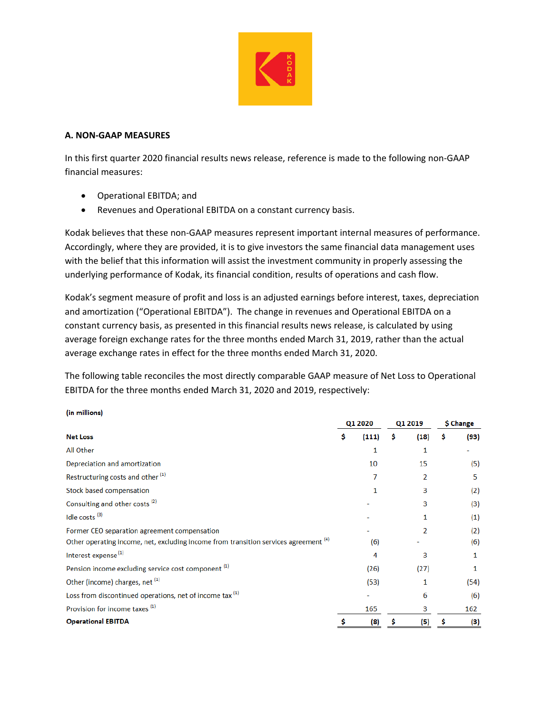

## **A. NON‐GAAP MEASURES**

(in millions)

In this first quarter 2020 financial results news release, reference is made to the following non‐GAAP financial measures:

- Operational EBITDA; and
- Revenues and Operational EBITDA on a constant currency basis.

Kodak believes that these non‐GAAP measures represent important internal measures of performance. Accordingly, where they are provided, it is to give investors the same financial data management uses with the belief that this information will assist the investment community in properly assessing the underlying performance of Kodak, its financial condition, results of operations and cash flow.

Kodak's segment measure of profit and loss is an adjusted earnings before interest, taxes, depreciation and amortization ("Operational EBITDA"). The change in revenues and Operational EBITDA on a constant currency basis, as presented in this financial results news release, is calculated by using average foreign exchange rates for the three months ended March 31, 2019, rather than the actual average exchange rates in effect for the three months ended March 31, 2020.

The following table reconciles the most directly comparable GAAP measure of Net Loss to Operational EBITDA for the three months ended March 31, 2020 and 2019, respectively:

|                                                                                                 |    | Q1 2020 |   | Q1 2019 |     | \$ Change        |  |
|-------------------------------------------------------------------------------------------------|----|---------|---|---------|-----|------------------|--|
| <b>Net Loss</b>                                                                                 | \$ | (111)   | s | (18)    | \$. | (93)             |  |
| All Other                                                                                       |    | 1       |   | 1       |     |                  |  |
| Depreciation and amortization                                                                   |    | 10      |   | 15      |     | (5)              |  |
| Restructuring costs and other <sup>(1)</sup>                                                    |    | 7       |   | 2       |     | 5                |  |
| Stock based compensation                                                                        |    | 1       |   | 3       |     | (2)              |  |
| Consulting and other costs <sup>(2)</sup>                                                       |    |         |   | 3       |     | (3)              |  |
| Idle costs <sup>(3)</sup>                                                                       |    |         |   | 1       |     | (1)              |  |
| Former CEO separation agreement compensation                                                    |    |         |   | 2       |     | (2)              |  |
| Other operating income, net, excluding income from transition services agreement <sup>(4)</sup> |    | (6)     |   |         |     | (6)              |  |
| Interest expense <sup>(1)</sup>                                                                 |    | 4       |   | 3       |     | 1                |  |
| Pension income excluding service cost component <sup>(1)</sup>                                  |    | (26)    |   | (27)    |     | 1                |  |
| Other (income) charges, net (1)                                                                 |    | (53)    |   | 1       |     | (54)             |  |
| Loss from discontinued operations, net of income tax <sup>(1)</sup>                             |    |         |   | 6       |     | (6)              |  |
| Provision for income taxes <sup>(1)</sup>                                                       |    | 165     |   | 3       |     | 162              |  |
| <b>Operational EBITDA</b>                                                                       | \$ | (8)     | s | (5)     | \$  | $\left(3\right)$ |  |